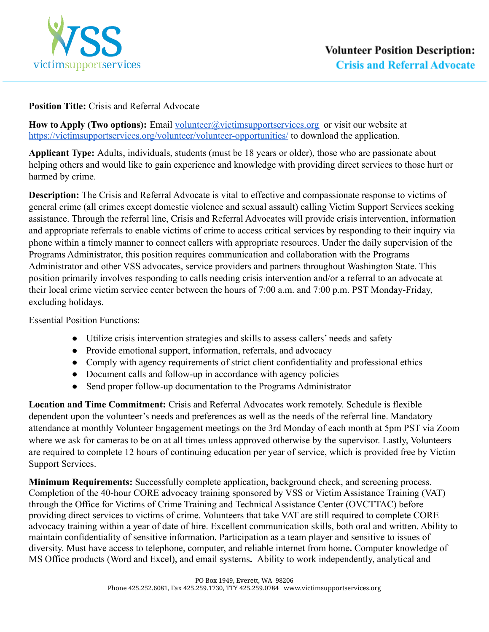

## **Position Title:** Crisis and Referral Advocate

**How to Apply (Two options):** Email volunteer@victimsupportservices.org or visit our website at https://victimsupportservices.org/volunteer/volunteer-opportunities/ to download the application.

**Applicant Type:** Adults, individuals, students (must be 18 years or older), those who are passionate about helping others and would like to gain experience and knowledge with providing direct services to those hurt or harmed by crime.

**Description:** The Crisis and Referral Advocate is vital to effective and compassionate response to victims of general crime (all crimes except domestic violence and sexual assault) calling Victim Support Services seeking assistance. Through the referral line, Crisis and Referral Advocates will provide crisis intervention, information and appropriate referrals to enable victims of crime to access critical services by responding to their inquiry via phone within a timely manner to connect callers with appropriate resources. Under the daily supervision of the Programs Administrator, this position requires communication and collaboration with the Programs Administrator and other VSS advocates, service providers and partners throughout Washington State. This position primarily involves responding to calls needing crisis intervention and/or a referral to an advocate at their local crime victim service center between the hours of 7:00 a.m. and 7:00 p.m. PST Monday-Friday, excluding holidays.

Essential Position Functions:

- Utilize crisis intervention strategies and skills to assess callers' needs and safety
- Provide emotional support, information, referrals, and advocacy
- Comply with agency requirements of strict client confidentiality and professional ethics
- Document calls and follow-up in accordance with agency policies
- Send proper follow-up documentation to the Programs Administrator

**Location and Time Commitment:** Crisis and Referral Advocates work remotely. Schedule is flexible dependent upon the volunteer's needs and preferences as well as the needs of the referral line. Mandatory attendance at monthly Volunteer Engagement meetings on the 3rd Monday of each month at 5pm PST via Zoom where we ask for cameras to be on at all times unless approved otherwise by the supervisor. Lastly, Volunteers are required to complete 12 hours of continuing education per year of service, which is provided free by Victim Support Services.

**Minimum Requirements:** Successfully complete application, background check, and screening process. Completion of the 40-hour CORE advocacy training sponsored by VSS or Victim Assistance Training (VAT) through the Office for Victims of Crime Training and Technical Assistance Center (OVCTTAC) before providing direct services to victims of crime. Volunteers that take VAT are still required to complete CORE advocacy training within a year of date of hire. Excellent communication skills, both oral and written. Ability to maintain confidentiality of sensitive information. Participation as a team player and sensitive to issues of diversity. Must have access to telephone, computer, and reliable internet from home**.** Computer knowledge of MS Office products (Word and Excel), and email systems**.** Ability to work independently, analytical and